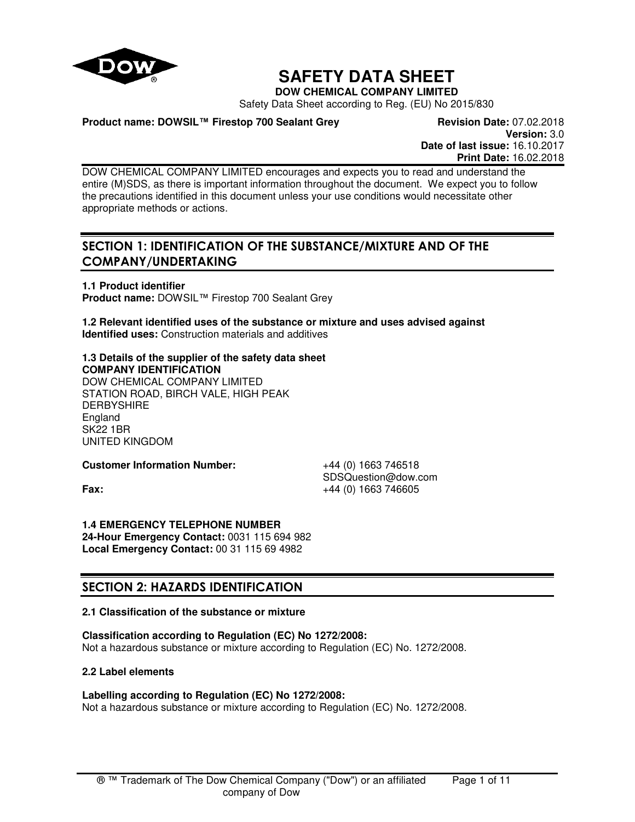

# **SAFETY DATA SHEET**

**DOW CHEMICAL COMPANY LIMITED**

Safety Data Sheet according to Reg. (EU) No 2015/830

### **Product name: DOWSIL™ Firestop 700 Sealant Grey Revision Date: 07.02.2018**

**Version:** 3.0 **Date of last issue:** 16.10.2017 **Print Date:** 16.02.2018

DOW CHEMICAL COMPANY LIMITED encourages and expects you to read and understand the entire (M)SDS, as there is important information throughout the document. We expect you to follow the precautions identified in this document unless your use conditions would necessitate other appropriate methods or actions.

# **SECTION 1: IDENTIFICATION OF THE SUBSTANCE/MIXTURE AND OF THE COMPANY/UNDERTAKING**

**1.1 Product identifier Product name:** DOWSIL™ Firestop 700 Sealant Grey

**1.2 Relevant identified uses of the substance or mixture and uses advised against Identified uses:** Construction materials and additives

**1.3 Details of the supplier of the safety data sheet COMPANY IDENTIFICATION** DOW CHEMICAL COMPANY LIMITED STATION ROAD, BIRCH VALE, HIGH PEAK **DERBYSHIRE** England SK22 1BR UNITED KINGDOM

**Customer Information Number:** +44 (0) 1663 746518

SDSQuestion@dow.com **Fax:**  $+44 (0) 1663 746605$ 

**1.4 EMERGENCY TELEPHONE NUMBER 24-Hour Emergency Contact:** 0031 115 694 982 **Local Emergency Contact:** 00 31 115 69 4982

# **SECTION 2: HAZARDS IDENTIFICATION**

### **2.1 Classification of the substance or mixture**

**Classification according to Regulation (EC) No 1272/2008:**

Not a hazardous substance or mixture according to Regulation (EC) No. 1272/2008.

#### **2.2 Label elements**

### **Labelling according to Regulation (EC) No 1272/2008:**

Not a hazardous substance or mixture according to Regulation (EC) No. 1272/2008.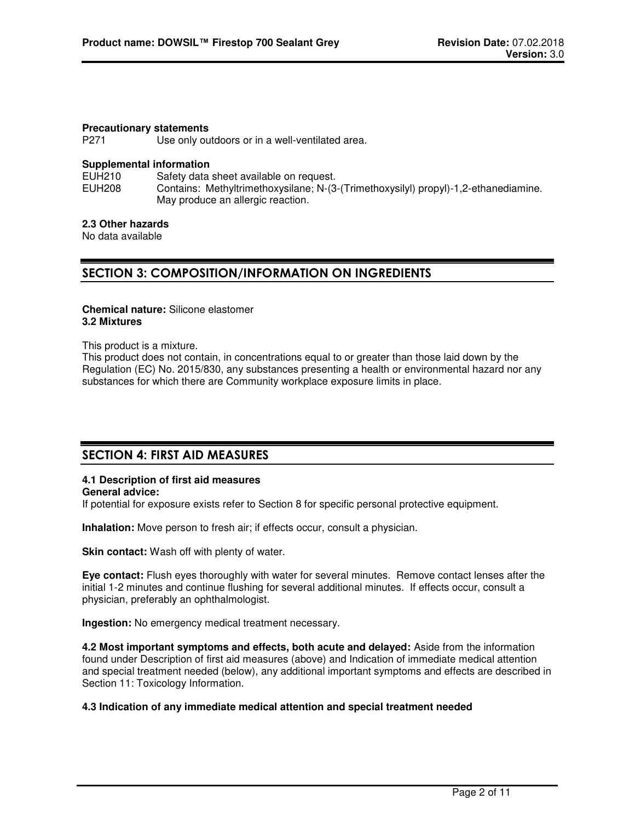#### **Precautionary statements**

P271 Use only outdoors or in a well-ventilated area.

#### **Supplemental information**

EUH210 Safety data sheet available on request.<br>EUH208 Contains: Methyltrimethoxysilane: N-(3 Contains: Methyltrimethoxysilane; N-(3-(Trimethoxysilyl) propyl)-1,2-ethanediamine. May produce an allergic reaction.

#### **2.3 Other hazards**

No data available

### **SECTION 3: COMPOSITION/INFORMATION ON INGREDIENTS**

#### **Chemical nature:** Silicone elastomer **3.2 Mixtures**

This product is a mixture.

This product does not contain, in concentrations equal to or greater than those laid down by the Regulation (EC) No. 2015/830, any substances presenting a health or environmental hazard nor any substances for which there are Community workplace exposure limits in place.

### **SECTION 4: FIRST AID MEASURES**

### **4.1 Description of first aid measures**

**General advice:** 

If potential for exposure exists refer to Section 8 for specific personal protective equipment.

**Inhalation:** Move person to fresh air; if effects occur, consult a physician.

**Skin contact:** Wash off with plenty of water.

**Eye contact:** Flush eyes thoroughly with water for several minutes. Remove contact lenses after the initial 1-2 minutes and continue flushing for several additional minutes. If effects occur, consult a physician, preferably an ophthalmologist.

**Ingestion:** No emergency medical treatment necessary.

**4.2 Most important symptoms and effects, both acute and delayed:** Aside from the information found under Description of first aid measures (above) and Indication of immediate medical attention and special treatment needed (below), any additional important symptoms and effects are described in Section 11: Toxicology Information.

#### **4.3 Indication of any immediate medical attention and special treatment needed**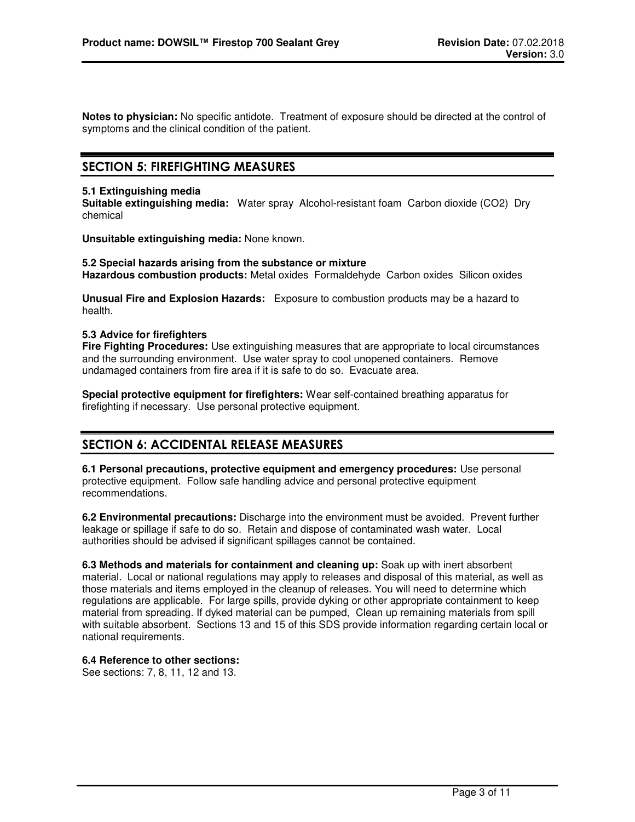**Notes to physician:** No specific antidote. Treatment of exposure should be directed at the control of symptoms and the clinical condition of the patient.

### **SECTION 5: FIREFIGHTING MEASURES**

#### **5.1 Extinguishing media**

**Suitable extinguishing media:** Water spray Alcohol-resistant foam Carbon dioxide (CO2) Dry chemical

**Unsuitable extinguishing media:** None known.

**5.2 Special hazards arising from the substance or mixture Hazardous combustion products:** Metal oxides Formaldehyde Carbon oxides Silicon oxides

**Unusual Fire and Explosion Hazards:** Exposure to combustion products may be a hazard to health.

#### **5.3 Advice for firefighters**

**Fire Fighting Procedures:** Use extinguishing measures that are appropriate to local circumstances and the surrounding environment. Use water spray to cool unopened containers. Remove undamaged containers from fire area if it is safe to do so. Evacuate area.

**Special protective equipment for firefighters:** Wear self-contained breathing apparatus for firefighting if necessary. Use personal protective equipment.

### **SECTION 6: ACCIDENTAL RELEASE MEASURES**

**6.1 Personal precautions, protective equipment and emergency procedures:** Use personal protective equipment. Follow safe handling advice and personal protective equipment recommendations.

**6.2 Environmental precautions:** Discharge into the environment must be avoided. Prevent further leakage or spillage if safe to do so. Retain and dispose of contaminated wash water. Local authorities should be advised if significant spillages cannot be contained.

**6.3 Methods and materials for containment and cleaning up:** Soak up with inert absorbent material. Local or national regulations may apply to releases and disposal of this material, as well as those materials and items employed in the cleanup of releases. You will need to determine which regulations are applicable. For large spills, provide dyking or other appropriate containment to keep material from spreading. If dyked material can be pumped, Clean up remaining materials from spill with suitable absorbent. Sections 13 and 15 of this SDS provide information regarding certain local or national requirements.

#### **6.4 Reference to other sections:**

See sections: 7, 8, 11, 12 and 13.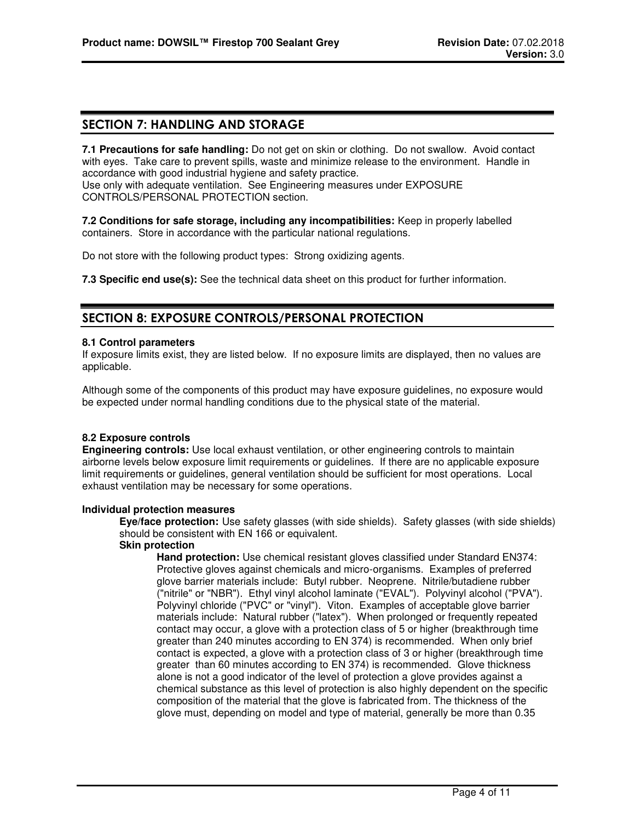### **SECTION 7: HANDLING AND STORAGE**

**7.1 Precautions for safe handling:** Do not get on skin or clothing. Do not swallow. Avoid contact with eyes. Take care to prevent spills, waste and minimize release to the environment. Handle in accordance with good industrial hygiene and safety practice.

Use only with adequate ventilation. See Engineering measures under EXPOSURE CONTROLS/PERSONAL PROTECTION section.

**7.2 Conditions for safe storage, including any incompatibilities:** Keep in properly labelled containers. Store in accordance with the particular national regulations.

Do not store with the following product types: Strong oxidizing agents.

**7.3 Specific end use(s):** See the technical data sheet on this product for further information.

### **SECTION 8: EXPOSURE CONTROLS/PERSONAL PROTECTION**

#### **8.1 Control parameters**

If exposure limits exist, they are listed below. If no exposure limits are displayed, then no values are applicable.

Although some of the components of this product may have exposure guidelines, no exposure would be expected under normal handling conditions due to the physical state of the material.

#### **8.2 Exposure controls**

**Engineering controls:** Use local exhaust ventilation, or other engineering controls to maintain airborne levels below exposure limit requirements or guidelines. If there are no applicable exposure limit requirements or guidelines, general ventilation should be sufficient for most operations. Local exhaust ventilation may be necessary for some operations.

#### **Individual protection measures**

**Eye/face protection:** Use safety glasses (with side shields). Safety glasses (with side shields) should be consistent with EN 166 or equivalent.

#### **Skin protection**

**Hand protection:** Use chemical resistant gloves classified under Standard EN374: Protective gloves against chemicals and micro-organisms. Examples of preferred glove barrier materials include: Butyl rubber. Neoprene. Nitrile/butadiene rubber ("nitrile" or "NBR"). Ethyl vinyl alcohol laminate ("EVAL"). Polyvinyl alcohol ("PVA"). Polyvinyl chloride ("PVC" or "vinyl"). Viton. Examples of acceptable glove barrier materials include: Natural rubber ("latex"). When prolonged or frequently repeated contact may occur, a glove with a protection class of 5 or higher (breakthrough time greater than 240 minutes according to EN 374) is recommended. When only brief contact is expected, a glove with a protection class of 3 or higher (breakthrough time greater than 60 minutes according to EN 374) is recommended. Glove thickness alone is not a good indicator of the level of protection a glove provides against a chemical substance as this level of protection is also highly dependent on the specific composition of the material that the glove is fabricated from. The thickness of the glove must, depending on model and type of material, generally be more than 0.35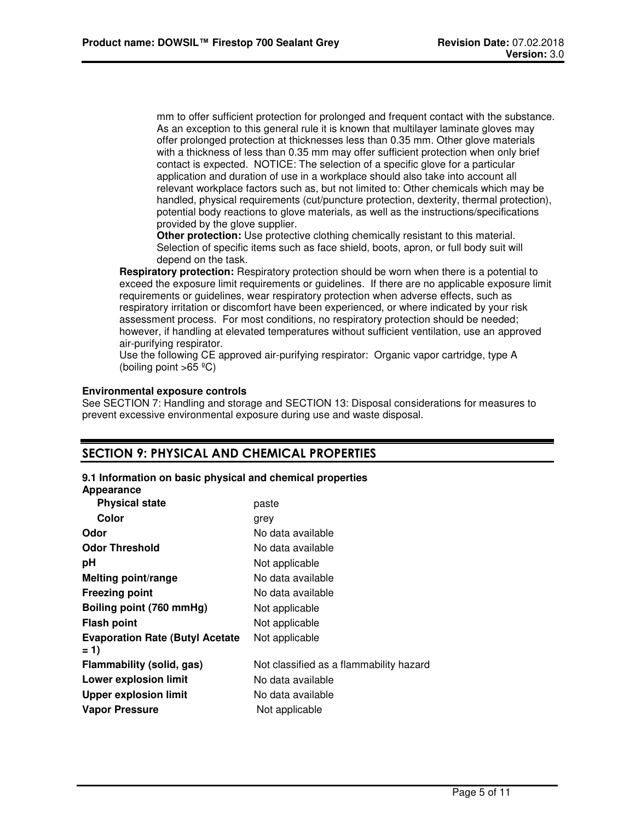mm to offer sufficient protection for prolonged and frequent contact with the substance. As an exception to this general rule it is known that multilayer laminate gloves may offer prolonged protection at thicknesses less than 0.35 mm. Other glove materials with a thickness of less than 0.35 mm may offer sufficient protection when only brief contact is expected. NOTICE: The selection of a specific glove for a particular application and duration of use in a workplace should also take into account all relevant workplace factors such as, but not limited to: Other chemicals which may be handled, physical requirements (cut/puncture protection, dexterity, thermal protection), potential body reactions to glove materials, as well as the instructions/specifications provided by the glove supplier.

**Other protection:** Use protective clothing chemically resistant to this material. Selection of specific items such as face shield, boots, apron, or full body suit will depend on the task.

**Respiratory protection:** Respiratory protection should be worn when there is a potential to exceed the exposure limit requirements or guidelines. If there are no applicable exposure limit requirements or guidelines, wear respiratory protection when adverse effects, such as respiratory irritation or discomfort have been experienced, or where indicated by your risk assessment process. For most conditions, no respiratory protection should be needed; however, if handling at elevated temperatures without sufficient ventilation, use an approved air-purifying respirator.

Use the following CE approved air-purifying respirator: Organic vapor cartridge, type A (boiling point  $>65$  °C)

#### **Environmental exposure controls**

See SECTION 7: Handling and storage and SECTION 13: Disposal considerations for measures to prevent excessive environmental exposure during use and waste disposal.

### **SECTION 9: PHYSICAL AND CHEMICAL PROPERTIES**

#### **9.1 Information on basic physical and chemical properties**

#### **Appearance**

| <b>Physical state</b>                  | paste                                   |
|----------------------------------------|-----------------------------------------|
| Color                                  | grey                                    |
| Odor                                   | No data available                       |
| <b>Odor Threshold</b>                  | No data available                       |
| рH                                     | Not applicable                          |
| <b>Melting point/range</b>             | No data available                       |
| <b>Freezing point</b>                  | No data available                       |
| Boiling point (760 mmHg)               | Not applicable                          |
| <b>Flash point</b>                     | Not applicable                          |
| <b>Evaporation Rate (Butyl Acetate</b> | Not applicable                          |
| $= 1$                                  |                                         |
| Flammability (solid, gas)              | Not classified as a flammability hazard |
| <b>Lower explosion limit</b>           | No data available                       |
| <b>Upper explosion limit</b>           | No data available                       |
| <b>Vapor Pressure</b>                  | Not applicable                          |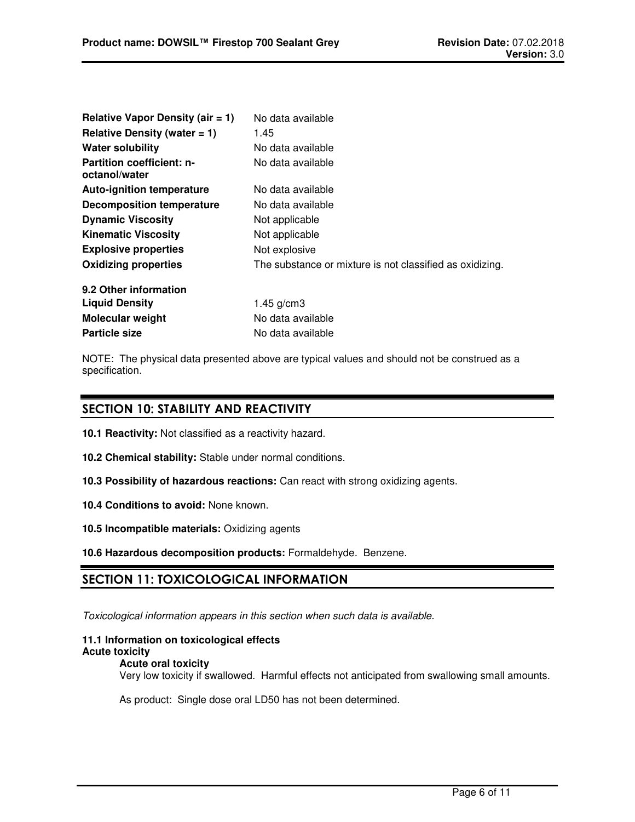| <b>Relative Vapor Density (air = 1)</b>           | No data available                                        |
|---------------------------------------------------|----------------------------------------------------------|
| Relative Density (water $= 1$ )                   | 1.45                                                     |
| <b>Water solubility</b>                           | No data available                                        |
| <b>Partition coefficient: n-</b><br>octanol/water | No data available                                        |
| <b>Auto-ignition temperature</b>                  | No data available                                        |
| <b>Decomposition temperature</b>                  | No data available                                        |
| <b>Dynamic Viscosity</b>                          | Not applicable                                           |
| <b>Kinematic Viscosity</b>                        | Not applicable                                           |
| <b>Explosive properties</b>                       | Not explosive                                            |
| <b>Oxidizing properties</b>                       | The substance or mixture is not classified as oxidizing. |
| 9.2 Other information                             |                                                          |
| <b>Liquid Density</b>                             | $1.45$ g/cm3                                             |
| Molecular weight                                  | No data available                                        |
| <b>Particle size</b>                              | No data available                                        |

NOTE: The physical data presented above are typical values and should not be construed as a specification.

### **SECTION 10: STABILITY AND REACTIVITY**

- **10.1 Reactivity:** Not classified as a reactivity hazard.
- **10.2 Chemical stability:** Stable under normal conditions.
- **10.3 Possibility of hazardous reactions:** Can react with strong oxidizing agents.
- **10.4 Conditions to avoid:** None known.
- **10.5 Incompatible materials:** Oxidizing agents
- **10.6 Hazardous decomposition products:** Formaldehyde. Benzene.

## **SECTION 11: TOXICOLOGICAL INFORMATION**

*Toxicological information appears in this section when such data is available.*

### **11.1 Information on toxicological effects Acute toxicity**

**Acute oral toxicity**

Very low toxicity if swallowed. Harmful effects not anticipated from swallowing small amounts.

As product: Single dose oral LD50 has not been determined.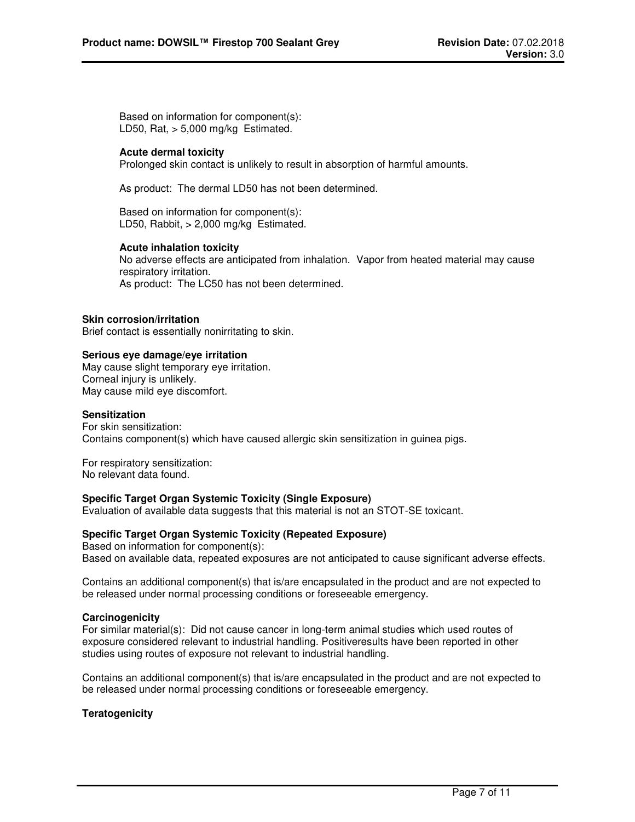Based on information for component(s): LD50, Rat,  $> 5,000$  mg/kg Estimated.

#### **Acute dermal toxicity**

Prolonged skin contact is unlikely to result in absorption of harmful amounts.

As product: The dermal LD50 has not been determined.

Based on information for component(s): LD50, Rabbit, > 2,000 mg/kg Estimated.

#### **Acute inhalation toxicity**

No adverse effects are anticipated from inhalation. Vapor from heated material may cause respiratory irritation. As product: The LC50 has not been determined.

#### **Skin corrosion/irritation**

Brief contact is essentially nonirritating to skin.

#### **Serious eye damage/eye irritation**

May cause slight temporary eye irritation. Corneal injury is unlikely. May cause mild eye discomfort.

#### **Sensitization**

For skin sensitization: Contains component(s) which have caused allergic skin sensitization in guinea pigs.

For respiratory sensitization: No relevant data found.

#### **Specific Target Organ Systemic Toxicity (Single Exposure)**

Evaluation of available data suggests that this material is not an STOT-SE toxicant.

#### **Specific Target Organ Systemic Toxicity (Repeated Exposure)**

Based on information for component(s): Based on available data, repeated exposures are not anticipated to cause significant adverse effects.

Contains an additional component(s) that is/are encapsulated in the product and are not expected to be released under normal processing conditions or foreseeable emergency.

#### **Carcinogenicity**

For similar material(s): Did not cause cancer in long-term animal studies which used routes of exposure considered relevant to industrial handling. Positiveresults have been reported in other studies using routes of exposure not relevant to industrial handling.

Contains an additional component(s) that is/are encapsulated in the product and are not expected to be released under normal processing conditions or foreseeable emergency.

#### **Teratogenicity**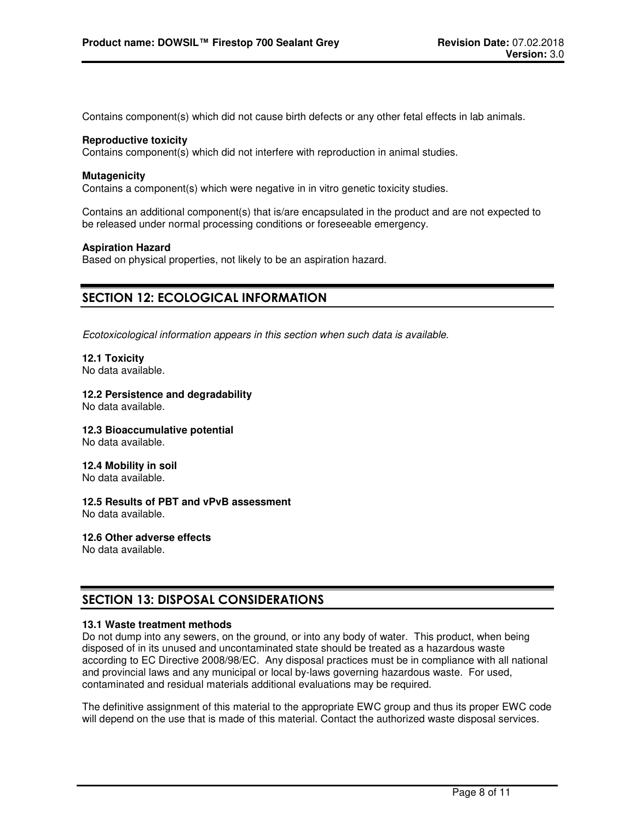Contains component(s) which did not cause birth defects or any other fetal effects in lab animals.

#### **Reproductive toxicity**

Contains component(s) which did not interfere with reproduction in animal studies.

#### **Mutagenicity**

Contains a component(s) which were negative in in vitro genetic toxicity studies.

Contains an additional component(s) that is/are encapsulated in the product and are not expected to be released under normal processing conditions or foreseeable emergency.

#### **Aspiration Hazard**

Based on physical properties, not likely to be an aspiration hazard.

### **SECTION 12: ECOLOGICAL INFORMATION**

*Ecotoxicological information appears in this section when such data is available.*

**12.1 Toxicity** No data available.

# **12.2 Persistence and degradability**

No data available.

**12.3 Bioaccumulative potential** No data available.

**12.4 Mobility in soil** No data available.

**12.5 Results of PBT and vPvB assessment**  No data available.

**12.6 Other adverse effects** No data available.

# **SECTION 13: DISPOSAL CONSIDERATIONS**

#### **13.1 Waste treatment methods**

Do not dump into any sewers, on the ground, or into any body of water. This product, when being disposed of in its unused and uncontaminated state should be treated as a hazardous waste according to EC Directive 2008/98/EC. Any disposal practices must be in compliance with all national and provincial laws and any municipal or local by-laws governing hazardous waste. For used, contaminated and residual materials additional evaluations may be required.

The definitive assignment of this material to the appropriate EWC group and thus its proper EWC code will depend on the use that is made of this material. Contact the authorized waste disposal services.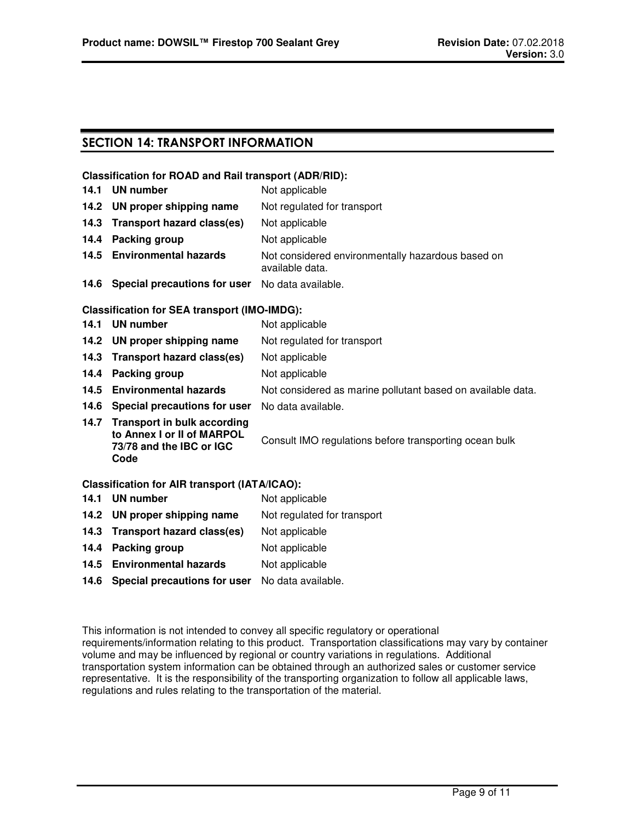### **SECTION 14: TRANSPORT INFORMATION**

#### **Classification for ROAD and Rail transport (ADR/RID):**

| 14.1 | UN number                                                                                          | Not applicable                                                       |
|------|----------------------------------------------------------------------------------------------------|----------------------------------------------------------------------|
|      | 14.2 UN proper shipping name                                                                       | Not regulated for transport                                          |
| 14.3 | Transport hazard class(es)                                                                         | Not applicable                                                       |
| 14.4 | Packing group                                                                                      | Not applicable                                                       |
|      | 14.5 Environmental hazards                                                                         | Not considered environmentally hazardous based on<br>available data. |
|      | 14.6 Special precautions for user                                                                  | No data available.                                                   |
|      | <b>Classification for SEA transport (IMO-IMDG):</b>                                                |                                                                      |
|      | 14.1 UN number                                                                                     | Not applicable                                                       |
|      | 14.2 UN proper shipping name                                                                       | Not regulated for transport                                          |
| 14.3 | Transport hazard class(es)                                                                         | Not applicable                                                       |
| 14.4 | Packing group                                                                                      | Not applicable                                                       |
| 14.5 | <b>Environmental hazards</b>                                                                       | Not considered as marine pollutant based on available data.          |
|      | 14.6 Special precautions for user                                                                  | No data available.                                                   |
|      | 14.7 Transport in bulk according<br>to Annex I or II of MARPOL<br>73/78 and the IBC or IGC<br>Code | Consult IMO regulations before transporting ocean bulk               |
|      | <b>Classification for AIR transport (IATA/ICAO):</b>                                               |                                                                      |
| 14.1 | UN number                                                                                          | Not applicable                                                       |
|      | 14.2 UN proper shipping name                                                                       | Not regulated for transport                                          |
|      | 14.3 Transport hazard class(es)                                                                    | Not applicable                                                       |
|      |                                                                                                    |                                                                      |

- **14.4 Packing group** Not applicable
- 14.5 **Environmental hazards** Not applicable
- **14.6 Special precautions for user** No data available.

This information is not intended to convey all specific regulatory or operational requirements/information relating to this product. Transportation classifications may vary by container volume and may be influenced by regional or country variations in regulations. Additional transportation system information can be obtained through an authorized sales or customer service representative. It is the responsibility of the transporting organization to follow all applicable laws, regulations and rules relating to the transportation of the material.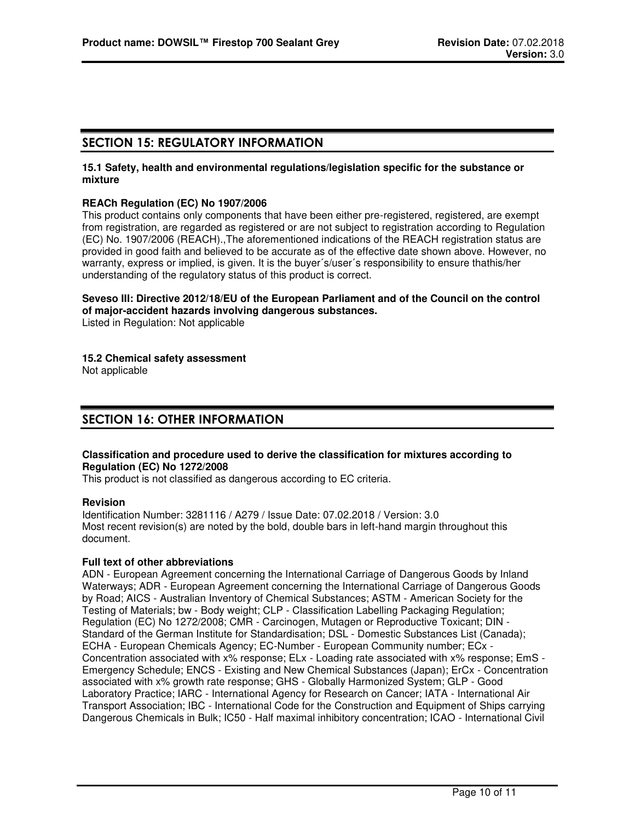### **SECTION 15: REGULATORY INFORMATION**

#### **15.1 Safety, health and environmental regulations/legislation specific for the substance or mixture**

#### **REACh Regulation (EC) No 1907/2006**

This product contains only components that have been either pre-registered, registered, are exempt from registration, are regarded as registered or are not subject to registration according to Regulation (EC) No. 1907/2006 (REACH).,The aforementioned indications of the REACH registration status are provided in good faith and believed to be accurate as of the effective date shown above. However, no warranty, express or implied, is given. It is the buyer´s/user´s responsibility to ensure thathis/her understanding of the regulatory status of this product is correct.

#### **Seveso III: Directive 2012/18/EU of the European Parliament and of the Council on the control of major-accident hazards involving dangerous substances.**

Listed in Regulation: Not applicable

#### **15.2 Chemical safety assessment**

Not applicable

### **SECTION 16: OTHER INFORMATION**

#### **Classification and procedure used to derive the classification for mixtures according to Regulation (EC) No 1272/2008**

This product is not classified as dangerous according to EC criteria.

#### **Revision**

Identification Number: 3281116 / A279 / Issue Date: 07.02.2018 / Version: 3.0 Most recent revision(s) are noted by the bold, double bars in left-hand margin throughout this document.

#### **Full text of other abbreviations**

ADN - European Agreement concerning the International Carriage of Dangerous Goods by Inland Waterways; ADR - European Agreement concerning the International Carriage of Dangerous Goods by Road; AICS - Australian Inventory of Chemical Substances; ASTM - American Society for the Testing of Materials; bw - Body weight; CLP - Classification Labelling Packaging Regulation; Regulation (EC) No 1272/2008; CMR - Carcinogen, Mutagen or Reproductive Toxicant; DIN - Standard of the German Institute for Standardisation; DSL - Domestic Substances List (Canada); ECHA - European Chemicals Agency; EC-Number - European Community number; ECx - Concentration associated with x% response; ELx - Loading rate associated with x% response; EmS - Emergency Schedule; ENCS - Existing and New Chemical Substances (Japan); ErCx - Concentration associated with x% growth rate response; GHS - Globally Harmonized System; GLP - Good Laboratory Practice; IARC - International Agency for Research on Cancer; IATA - International Air Transport Association; IBC - International Code for the Construction and Equipment of Ships carrying Dangerous Chemicals in Bulk; IC50 - Half maximal inhibitory concentration; ICAO - International Civil